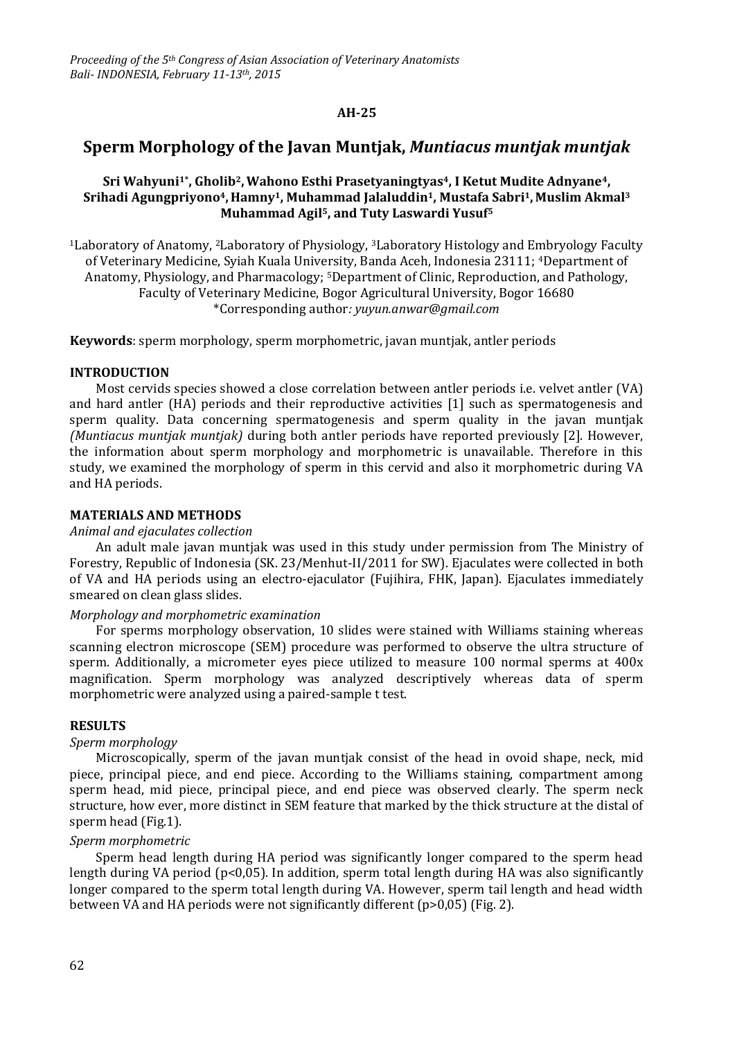## **AH-25**

# **Sperm Morphology of the Javan Muntjak,** *Muntiacus muntjak muntjak*

## **Sri Wahyuni1\* , Gholib2,Wahono Esthi Prasetyaningtyas4, I Ketut Mudite Adnyane4, Srihadi Agungpriyono4, Hamny1, Muhammad Jalaluddin1, Mustafa Sabri1, Muslim Akmal<sup>3</sup> Muhammad Agil5, and Tuty Laswardi Yusuf<sup>5</sup>**

<sup>1</sup>Laboratory of Anatomy, 2Laboratory of Physiology, 3Laboratory Histology and Embryology Faculty of Veterinary Medicine, Syiah Kuala University, Banda Aceh, Indonesia 23111; 4Department of Anatomy, Physiology, and Pharmacology; 5Department of Clinic, Reproduction, and Pathology, Faculty of Veterinary Medicine, Bogor Agricultural University, Bogor 16680 \*Corresponding author*[: yuyun.anwar@gmail.com](mailto:yuyun.anwar@gmail.com)*

**Keywords**: sperm morphology, sperm morphometric, javan muntjak, antler periods

## **INTRODUCTION**

Most cervids species showed a close correlation between antler periods i.e. velvet antler (VA) and hard antler (HA) periods and their reproductive activities [1] such as spermatogenesis and sperm quality. Data concerning spermatogenesis and sperm quality in the javan muntjak *(Muntiacus muntjak muntjak)* during both antler periods have reported previously [2]. However, the information about sperm morphology and morphometric is unavailable. Therefore in this study, we examined the morphology of sperm in this cervid and also it morphometric during VA and HA periods.

#### **MATERIALS AND METHODS**

#### *Animal and ejaculates collection*

An adult male javan muntjak was used in this study under permission from The Ministry of Forestry, Republic of Indonesia (SK. 23/Menhut-II/2011 for SW). Ejaculates were collected in both of VA and HA periods using an electro-ejaculator (Fujihira, FHK, Japan). Ejaculates immediately smeared on clean glass slides.

#### *Morphology and morphometric examination*

For sperms morphology observation, 10 slides were stained with Williams staining whereas scanning electron microscope (SEM) procedure was performed to observe the ultra structure of sperm. Additionally, a micrometer eyes piece utilized to measure 100 normal sperms at 400x magnification. Sperm morphology was analyzed descriptively whereas data of sperm morphometric were analyzed using a paired-sample t test.

## **RESULTS**

#### *Sperm morphology*

Microscopically, sperm of the javan muntjak consist of the head in ovoid shape, neck, mid piece, principal piece, and end piece. According to the Williams staining, compartment among sperm head, mid piece, principal piece, and end piece was observed clearly. The sperm neck structure, how ever, more distinct in SEM feature that marked by the thick structure at the distal of sperm head (Fig.1).

## *Sperm morphometric*

Sperm head length during HA period was significantly longer compared to the sperm head length during VA period (p<0,05). In addition, sperm total length during HA was also significantly longer compared to the sperm total length during VA. However, sperm tail length and head width between VA and HA periods were not significantly different (p>0,05) (Fig. 2).